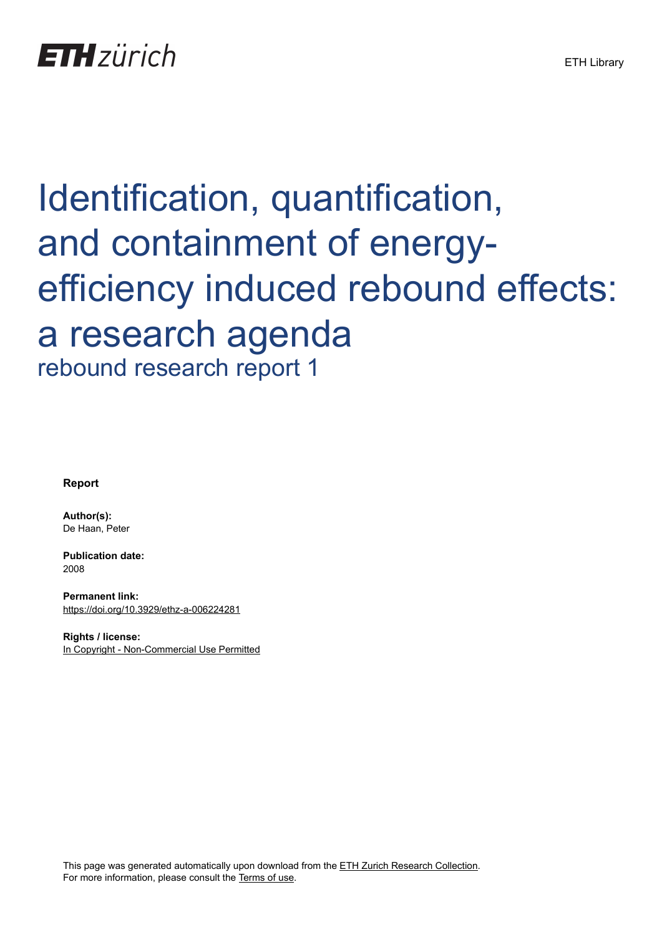# Identification, quantification, and containment of energyefficiency induced rebound effects: a research agenda rebound research report 1

**Report**

**Author(s):** De Haan, Peter

**Publication date:** 2008

**Permanent link:** <https://doi.org/10.3929/ethz-a-006224281>

**Rights / license:** [In Copyright - Non-Commercial Use Permitted](http://rightsstatements.org/page/InC-NC/1.0/)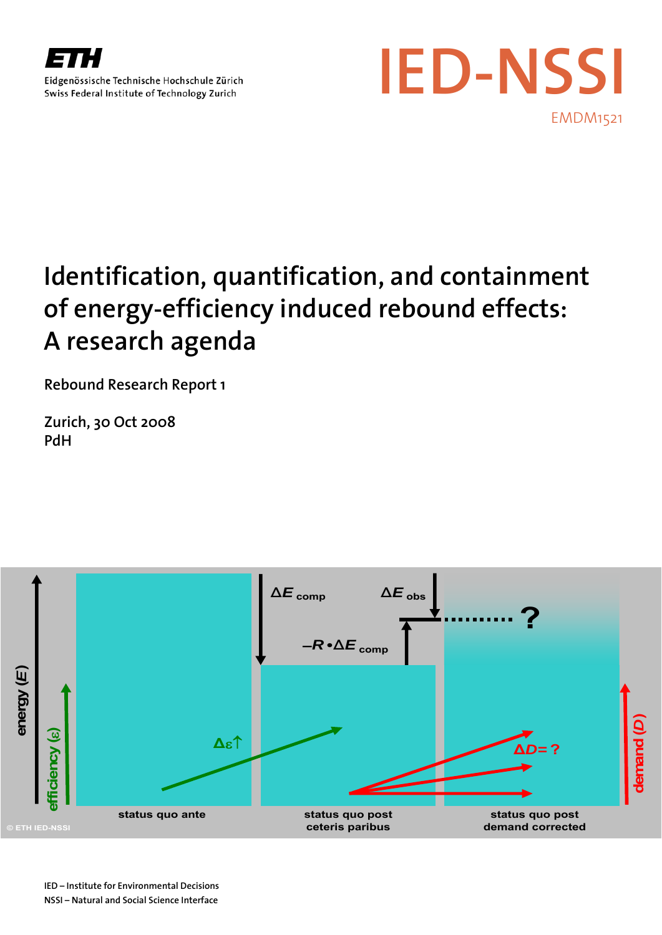



## **Identification, quantification, and containment of energy-efficiency induced rebound effects: A research agenda**

**Rebound Research Report 1** 

**Zurich, 30 Oct 2008 PdH** 

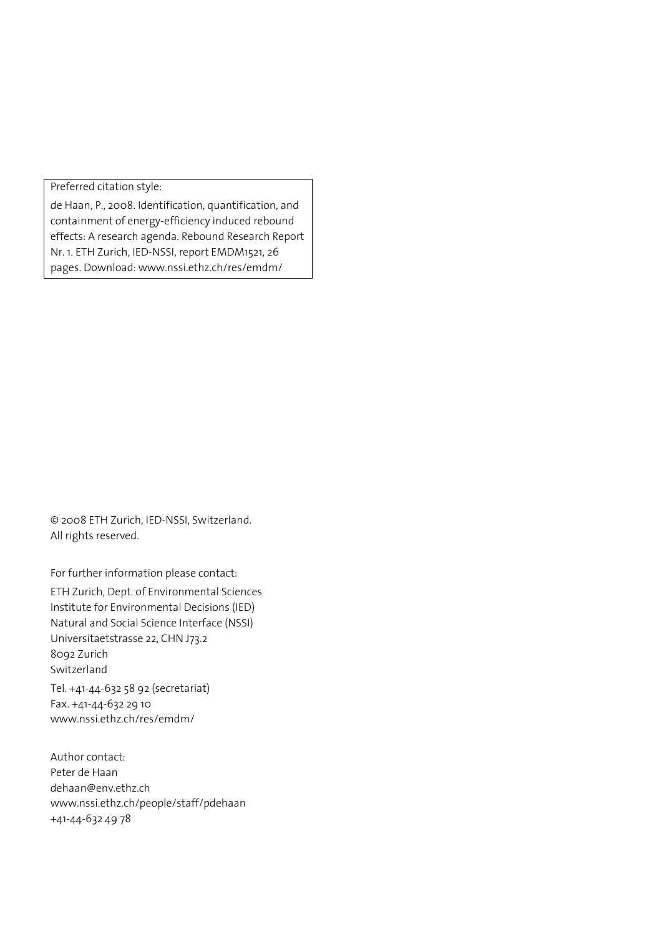Preferred citation style:

de Haan, P., 2008. Identification, quantification, and containment of energy-efficiency induced rebound effects: A research agenda. Rebound Research Report Nr. 1. ETH Zurich, IED-NSSI, report EMDM1521, 26 pages. Download: www.nssi.ethz.ch/res/emdm/

© 2008 ETH Zurich, IED-NSSI, Switzerland. All rights reserved.

For further information please contact:

ETH Zurich, Dept. of Environmental Sciences Institute for Environmental Decisions (IED) Natural and Social Science Interface (NSSI) Universitaetstrasse 22, CHN J73.2 8092 Zurich Switzerland Tel. +41-44-632 58 92 (secretariat) Fax. +41-44-632 29 10 www.nssi.ethz.ch/res/emdm/

Author contact: Peter de Haan dehaan@env.ethz.ch www.nssi.ethz.ch/people/staff/pdehaan +41-44-632 49 78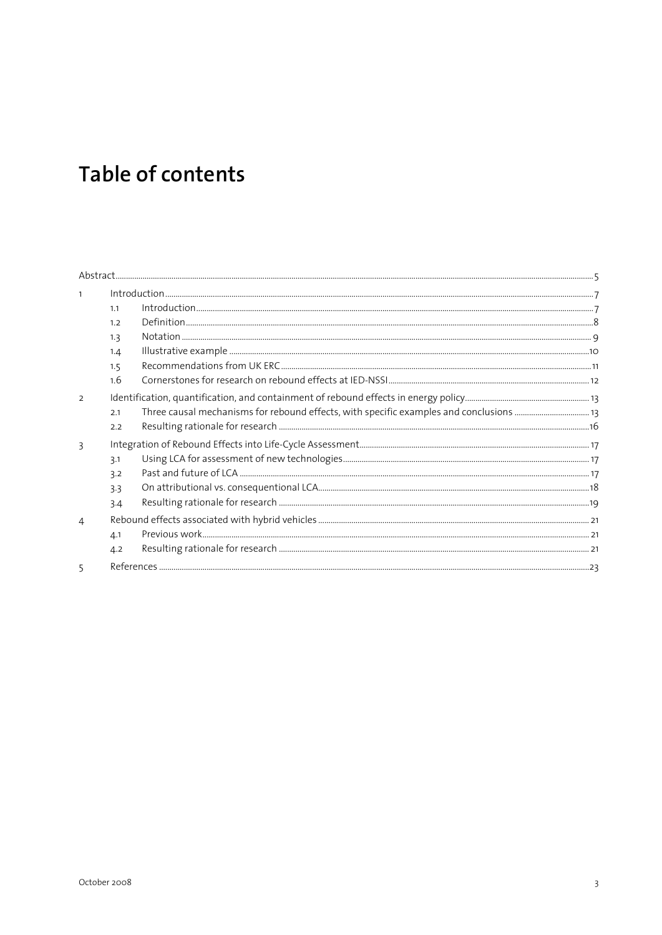## Table of contents

| $\mathbf{1}$   |     |  |  |  |  |
|----------------|-----|--|--|--|--|
|                | 1.1 |  |  |  |  |
|                | 1.2 |  |  |  |  |
|                | 1.3 |  |  |  |  |
|                | 1.4 |  |  |  |  |
|                | 1.5 |  |  |  |  |
|                | 1.6 |  |  |  |  |
| 2              |     |  |  |  |  |
|                | 2.1 |  |  |  |  |
|                | 2.2 |  |  |  |  |
| $\overline{3}$ |     |  |  |  |  |
|                | 3.1 |  |  |  |  |
|                | 3.2 |  |  |  |  |
|                | 3.3 |  |  |  |  |
|                | 3.4 |  |  |  |  |
| $\overline{4}$ |     |  |  |  |  |
|                | 4.1 |  |  |  |  |
|                | 4.2 |  |  |  |  |
| $5^{\circ}$    |     |  |  |  |  |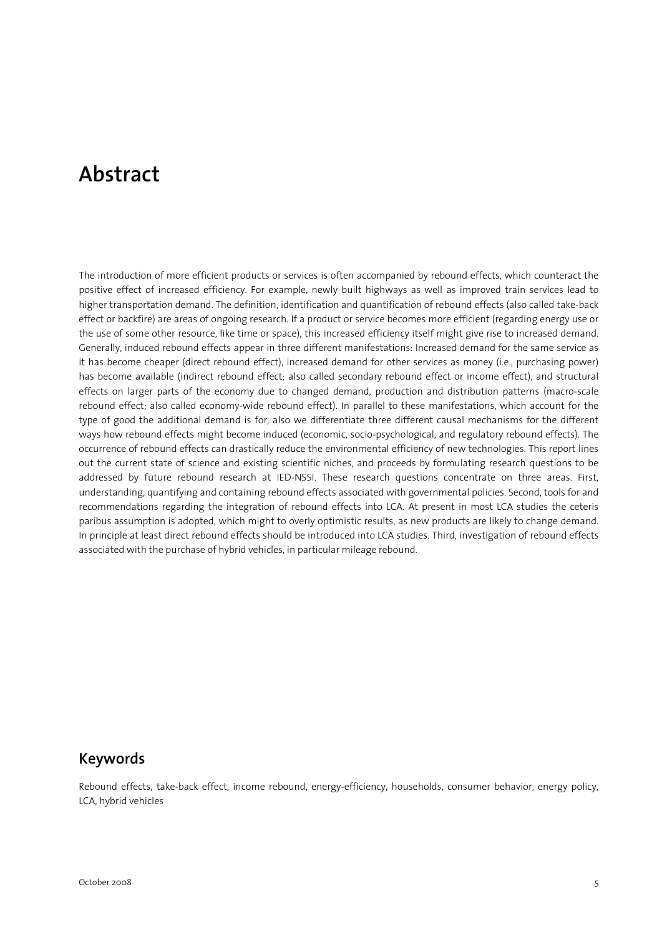## **Abstract**

The introduction of more efficient products or services is often accompanied by rebound effects, which counteract the positive effect of increased efficiency. For example, newly built highways as well as improved train services lead to higher transportation demand. The definition, identification and quantification of rebound effects (also called take-back effect or backfire) are areas of ongoing research. If a product or service becomes more efficient (regarding energy use or the use of some other resource, like time or space), this increased efficiency itself might give rise to increased demand. Generally, induced rebound effects appear in three different manifestations: Increased demand for the same service as it has become cheaper (direct rebound effect), increased demand for other services as money (i.e., purchasing power) has become available (indirect rebound effect; also called secondary rebound effect or income effect), and structural effects on larger parts of the economy due to changed demand, production and distribution patterns (macro-scale rebound effect; also called economy-wide rebound effect). In parallel to these manifestations, which account for the type of good the additional demand is for, also we differentiate three different causal mechanisms for the different ways how rebound effects might become induced (economic, socio-psychological, and regulatory rebound effects). The occurrence of rebound effects can drastically reduce the environmental efficiency of new technologies. This report lines out the current state of science and existing scientific niches, and proceeds by formulating research questions to be addressed by future rebound research at IED-NSSI. These research questions concentrate on three areas. First, understanding, quantifying and containing rebound effects associated with governmental policies. Second, tools for and recommendations regarding the integration of rebound effects into LCA. At present in most LCA studies the ceteris paribus assumption is adopted, which might to overly optimistic results, as new products are likely to change demand. In principle at least direct rebound effects should be introduced into LCA studies. Third, investigation of rebound effects associated with the purchase of hybrid vehicles, in particular mileage rebound.

#### **Keywords**

Rebound effects, take-back effect, income rebound, energy-efficiency, households, consumer behavior, energy policy, LCA, hybrid vehicles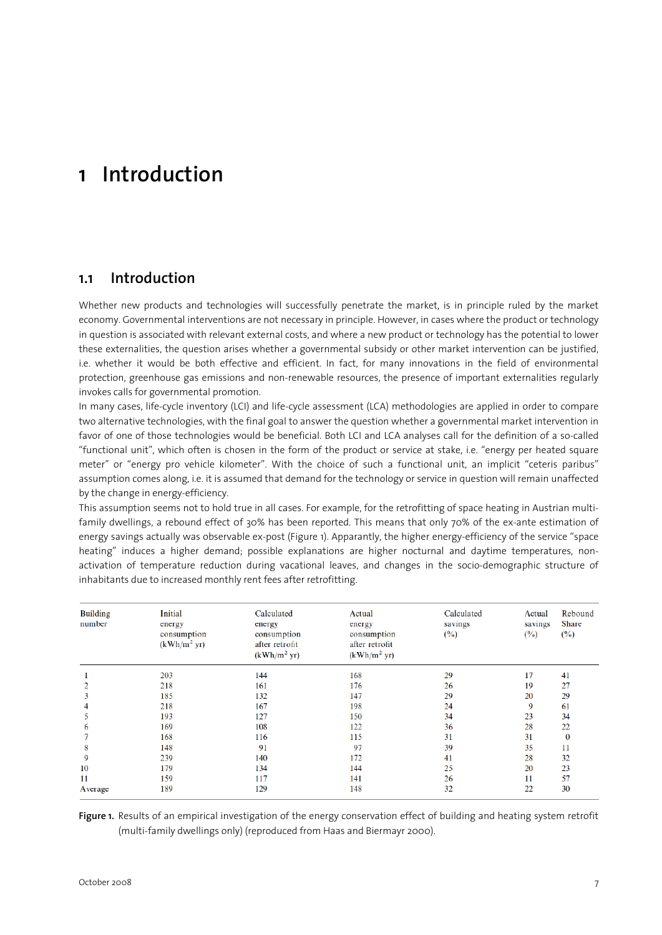## **1 Introduction**

### **1.1 Introduction**

Whether new products and technologies will successfully penetrate the market, is in principle ruled by the market economy. Governmental interventions are not necessary in principle. However, in cases where the product or technology in question is associated with relevant external costs, and where a new product or technology has the potential to lower these externalities, the question arises whether a governmental subsidy or other market intervention can be justified, i.e. whether it would be both effective and efficient. In fact, for many innovations in the field of environmental protection, greenhouse gas emissions and non-renewable resources, the presence of important externalities regularly invokes calls for governmental promotion.

In many cases, life-cycle inventory (LCI) and life-cycle assessment (LCA) methodologies are applied in order to compare two alternative technologies, with the final goal to answer the question whether a governmental market intervention in favor of one of those technologies would be beneficial. Both LCI and LCA analyses call for the definition of a so-called "functional unit", which often is chosen in the form of the product or service at stake, i.e. "energy per heated square meter" or "energy pro vehicle kilometer". With the choice of such a functional unit, an implicit "ceteris paribus" assumption comes along, i.e. it is assumed that demand for the technology or service in question will remain unaffected by the change in energy-efficiency.

This assumption seems not to hold true in all cases. For example, for the retrofitting of space heating in Austrian multifamily dwellings, a rebound effect 0f 30% has been reported. This means that only 70% of the ex-ante estimation of energy savings actually was observable ex-post (Figure 1). Apparantly, the higher energy-efficiency of the service "space heating" induces a higher demand; possible explanations are higher nocturnal and daytime temperatures, nonactivation of temperature reduction during vacational leaves, and changes in the socio-demographic structure of inhabitants due to increased monthly rent fees after retrofitting.

| <b>Building</b><br>number | Initial<br>energy<br>consumption<br>(kWh/m <sup>2</sup> yr) | Calculated<br>energy<br>consumption<br>after retrofit<br>(kWh/m <sup>2</sup> yr) | Actual<br>energy<br>consumption<br>after retrofit<br>(kWh/m <sup>2</sup> yr) | Calculated<br>savings<br>$(\%)$ | Actual<br>savings<br>$(\%)$ | Rebound<br>Share<br>$(\%)$ |
|---------------------------|-------------------------------------------------------------|----------------------------------------------------------------------------------|------------------------------------------------------------------------------|---------------------------------|-----------------------------|----------------------------|
|                           | 203                                                         | 144                                                                              | 168                                                                          | 29                              | 17                          | 41                         |
|                           | 218                                                         | 161                                                                              | 176                                                                          | 26                              | 19                          | 27                         |
| 3                         | 185                                                         | 132                                                                              | 147                                                                          | 29                              | 20                          | 29                         |
| 4                         | 218                                                         | 167                                                                              | 198                                                                          | 24                              | 9                           | 61                         |
| 5                         | 193                                                         | 127                                                                              | 150                                                                          | 34                              | 23                          | 34                         |
| 6                         | 169                                                         | 108                                                                              | 122                                                                          | 36                              | 28                          | 22                         |
|                           | 168                                                         | 116                                                                              | 115                                                                          | 31                              | 31                          | $\bf{0}$                   |
| 8                         | 148                                                         | 91                                                                               | 97                                                                           | 39                              | 35                          | 11                         |
| 9                         | 239                                                         | 140                                                                              | 172                                                                          | 41                              | 28                          | 32                         |
| 10                        | 179                                                         | 134                                                                              | 144                                                                          | 25                              | 20                          | 23                         |
| 11                        | 159                                                         | 117                                                                              | 141                                                                          | 26                              | 11                          | 57                         |
| Average                   | 189                                                         | 129                                                                              | 148                                                                          | 32                              | 22                          | 30                         |

**Figure 1.** Results of an empirical investigation of the energy conservation effect of building and heating system retrofit (multi-family dwellings only) (reproduced from Haas and Biermayr 2000).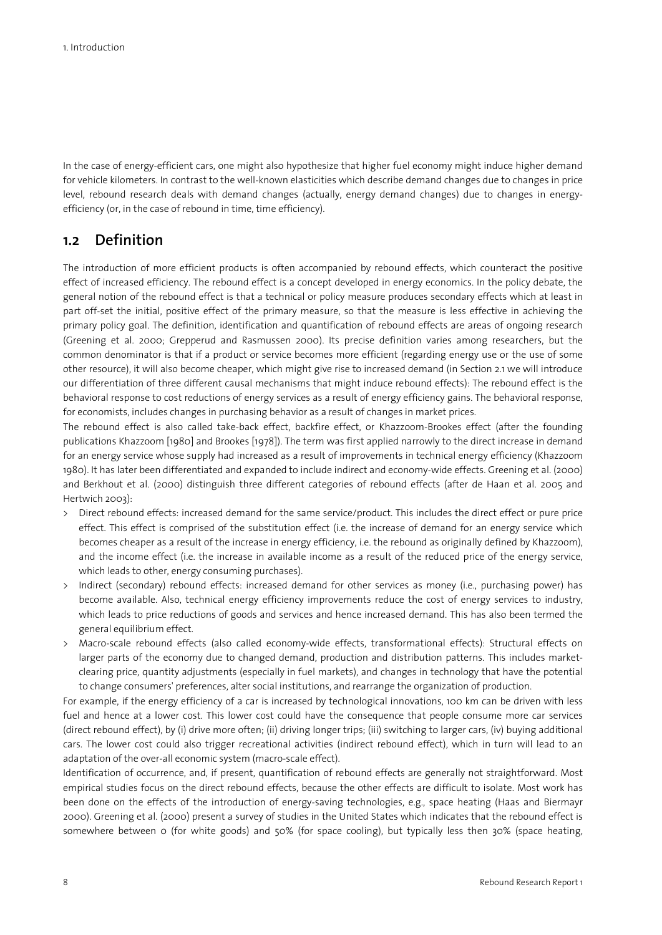In the case of energy-efficient cars, one might also hypothesize that higher fuel economy might induce higher demand for vehicle kilometers. In contrast to the well-known elasticities which describe demand changes due to changes in price level, rebound research deals with demand changes (actually, energy demand changes) due to changes in energyefficiency (or, in the case of rebound in time, time efficiency).

## **1.2 Definition**

The introduction of more efficient products is often accompanied by rebound effects, which counteract the positive effect of increased efficiency. The rebound effect is a concept developed in energy economics. In the policy debate, the general notion of the rebound effect is that a technical or policy measure produces secondary effects which at least in part off-set the initial, positive effect of the primary measure, so that the measure is less effective in achieving the primary policy goal. The definition, identification and quantification of rebound effects are areas of ongoing research (Greening et al. 2000; Grepperud and Rasmussen 2000). Its precise definition varies among researchers, but the common denominator is that if a product or service becomes more efficient (regarding energy use or the use of some other resource), it will also become cheaper, which might give rise to increased demand (in Section 2.1 we will introduce our differentiation of three different causal mechanisms that might induce rebound effects): The rebound effect is the behavioral response to cost reductions of energy services as a result of energy efficiency gains. The behavioral response, for economists, includes changes in purchasing behavior as a result of changes in market prices.

The rebound effect is also called take-back effect, backfire effect, or Khazzoom-Brookes effect (after the founding publications Khazzoom [1980] and Brookes [1978]). The term was first applied narrowly to the direct increase in demand for an energy service whose supply had increased as a result of improvements in technical energy efficiency (Khazzoom 1980). It has later been differentiated and expanded to include indirect and economy-wide effects. Greening et al. (2000) and Berkhout et al. (2000) distinguish three different categories of rebound effects (after de Haan et al. 2005 and Hertwich 2003):

- > Direct rebound effects: increased demand for the same service/product. This includes the direct effect or pure price effect. This effect is comprised of the substitution effect (i.e. the increase of demand for an energy service which becomes cheaper as a result of the increase in energy efficiency, i.e. the rebound as originally defined by Khazzoom), and the income effect (i.e. the increase in available income as a result of the reduced price of the energy service, which leads to other, energy consuming purchases).
- > Indirect (secondary) rebound effects: increased demand for other services as money (i.e., purchasing power) has become available. Also, technical energy efficiency improvements reduce the cost of energy services to industry, which leads to price reductions of goods and services and hence increased demand. This has also been termed the general equilibrium effect.
- > Macro-scale rebound effects (also called economy-wide effects, transformational effects): Structural effects on larger parts of the economy due to changed demand, production and distribution patterns. This includes marketclearing price, quantity adjustments (especially in fuel markets), and changes in technology that have the potential to change consumers' preferences, alter social institutions, and rearrange the organization of production.

For example, if the energy efficiency of a car is increased by technological innovations, 100 km can be driven with less fuel and hence at a lower cost. This lower cost could have the consequence that people consume more car services (direct rebound effect), by (i) drive more often; (ii) driving longer trips; (iii) switching to larger cars, (iv) buying additional cars. The lower cost could also trigger recreational activities (indirect rebound effect), which in turn will lead to an adaptation of the over-all economic system (macro-scale effect).

Identification of occurrence, and, if present, quantification of rebound effects are generally not straightforward. Most empirical studies focus on the direct rebound effects, because the other effects are difficult to isolate. Most work has been done on the effects of the introduction of energy-saving technologies, e.g., space heating (Haas and Biermayr 2000). Greening et al. (2000) present a survey of studies in the United States which indicates that the rebound effect is somewhere between 0 (for white goods) and 50% (for space cooling), but typically less then 30% (space heating,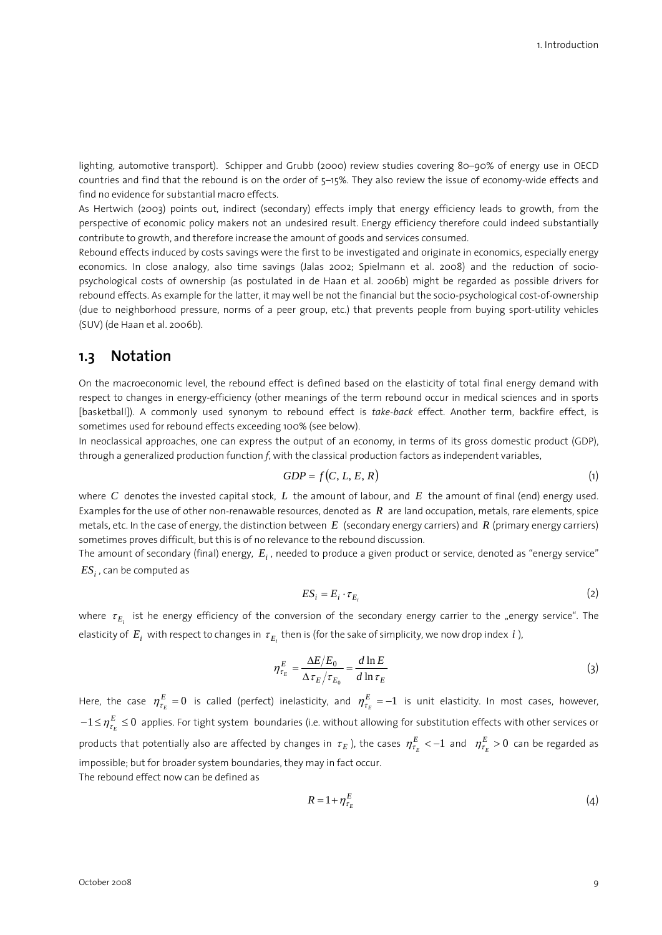lighting, automotive transport). Schipper and Grubb (2000) review studies covering 80–90% of energy use in OECD countries and find that the rebound is on the order of 5–15%. They also review the issue of economy-wide effects and find no evidence for substantial macro effects.

As Hertwich (2003) points out, indirect (secondary) effects imply that energy efficiency leads to growth, from the perspective of economic policy makers not an undesired result. Energy efficiency therefore could indeed substantially contribute to growth, and therefore increase the amount of goods and services consumed.

Rebound effects induced by costs savings were the first to be investigated and originate in economics, especially energy economics. In close analogy, also time savings (Jalas 2002; Spielmann et al. 2008) and the reduction of sociopsychological costs of ownership (as postulated in de Haan et al. 2006b) might be regarded as possible drivers for rebound effects. As example for the latter, it may well be not the financial but the socio-psychological cost-of-ownership (due to neighborhood pressure, norms of a peer group, etc.) that prevents people from buying sport-utility vehicles (SUV) (de Haan et al. 2006b).

#### **1.3 Notation**

On the macroeconomic level, the rebound effect is defined based on the elasticity of total final energy demand with respect to changes in energy-efficiency (other meanings of the term rebound occur in medical sciences and in sports [basketball]). A commonly used synonym to rebound effect is *take-back* effect. Another term, backfire effect, is sometimes used for rebound effects exceeding 100% (see below).

In neoclassical approaches, one can express the output of an economy, in terms of its gross domestic product (GDP), through a generalized production function *f*, with the classical production factors as independent variables,

$$
GDP = f(C, L, E, R) \tag{1}
$$

where *C* denotes the invested capital stock, *L* the amount of labour, and *E* the amount of final (end) energy used. Examples for the use of other non-renawable resources, denoted as *R* are land occupation, metals, rare elements, spice metals, etc. In the case of energy, the distinction between *E* (secondary energy carriers) and *R* (primary energy carriers) sometimes proves difficult, but this is of no relevance to the rebound discussion.

The amount of secondary (final) energy,  $E_i$ , needed to produce a given product or service, denoted as "energy service" *ESi* , can be computed as

$$
ES_i = E_i \cdot \tau_{E_i} \tag{2}
$$

where  $\tau_{E_i}$  ist he energy efficiency of the conversion of the secondary energy carrier to the "energy service". The elasticity of  $E_i$  with respect to changes in  $\tau_{E_i}$  then is (for the sake of simplicity, we now drop index *i*),

$$
\eta_{\tau_E}^E = \frac{\Delta E/E_0}{\Delta \tau_E / \tau_{E_0}} = \frac{d \ln E}{d \ln \tau_E} \tag{3}
$$

Here, the case  $\eta_{\tau_E}^E=0$  is called (perfect) inelasticity, and  $\eta_{\tau_E}^E=-1$  is unit elasticity. In most cases, however, −1 ≤  $\eta^E_{\tau_E}$  ≤ 0  $\,$  applies. For tight system  $\,$  boundaries (i.e. without allowing for substitution effects with other services or products that potentially also are affected by changes in  $\tau_E$  ), the cases  $\eta^E_{\tau_E}<-1$  and  $\eta^E_{\tau_E}>0$  can be regarded as impossible; but for broader system boundaries, they may in fact occur. The rebound effect now can be defined as

$$
R = 1 + \eta_{\tau_E}^E \tag{4}
$$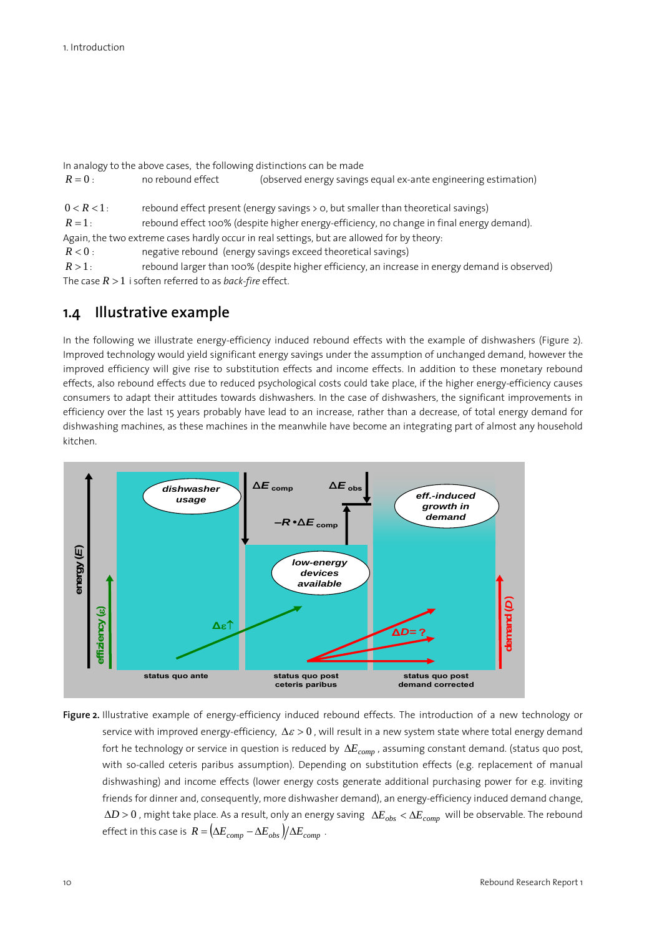|               |                                                                                                | In analogy to the above cases, the following distinctions can be made                      |  |  |  |
|---------------|------------------------------------------------------------------------------------------------|--------------------------------------------------------------------------------------------|--|--|--|
| $R=0$ :       | no rebound effect                                                                              | (observed energy savings equal ex-ante engineering estimation)                             |  |  |  |
| $0 < R < 1$ : | rebound effect present (energy savings > 0, but smaller than theoretical savings)              |                                                                                            |  |  |  |
| $R=1$ :       | rebound effect 100% (despite higher energy-efficiency, no change in final energy demand).      |                                                                                            |  |  |  |
|               |                                                                                                | Again, the two extreme cases hardly occur in real settings, but are allowed for by theory: |  |  |  |
| $R < 0$ :     | negative rebound (energy savings exceed theoretical savings)                                   |                                                                                            |  |  |  |
| $R > 1$ :     | rebound larger than 100% (despite higher efficiency, an increase in energy demand is observed) |                                                                                            |  |  |  |
|               | The case $R > 1$ i soften referred to as back-fire effect.                                     |                                                                                            |  |  |  |
|               |                                                                                                |                                                                                            |  |  |  |
|               |                                                                                                |                                                                                            |  |  |  |

### **1.4 Illustrative example**

In the following we illustrate energy-efficiency induced rebound effects with the example of dishwashers (Figure 2). Improved technology would yield significant energy savings under the assumption of unchanged demand, however the improved efficiency will give rise to substitution effects and income effects. In addition to these monetary rebound effects, also rebound effects due to reduced psychological costs could take place, if the higher energy-efficiency causes consumers to adapt their attitudes towards dishwashers. In the case of dishwashers, the significant improvements in efficiency over the last 15 years probably have lead to an increase, rather than a decrease, of total energy demand for dishwashing machines, as these machines in the meanwhile have become an integrating part of almost any household kitchen.



Figure 2. Illustrative example of energy-efficiency induced rebound effects. The introduction of a new technology or service with improved energy-efficiency,  $\Delta \varepsilon > 0$ , will result in a new system state where total energy demand fort he technology or service in question is reduced by Δ*Ecomp* , assuming constant demand. (status quo post, with so-called ceteris paribus assumption). Depending on substitution effects (e.g. replacement of manual dishwashing) and income effects (lower energy costs generate additional purchasing power for e.g. inviting friends for dinner and, consequently, more dishwasher demand), an energy-efficiency induced demand change,  $\Delta D > 0$ , might take place. As a result, only an energy saving  $\Delta E_{obs} < \Delta E_{comp}$  will be observable. The rebound effect in this case is  $R = (\Delta E_{comp} - \Delta E_{obs}) / \Delta E_{comp}$ .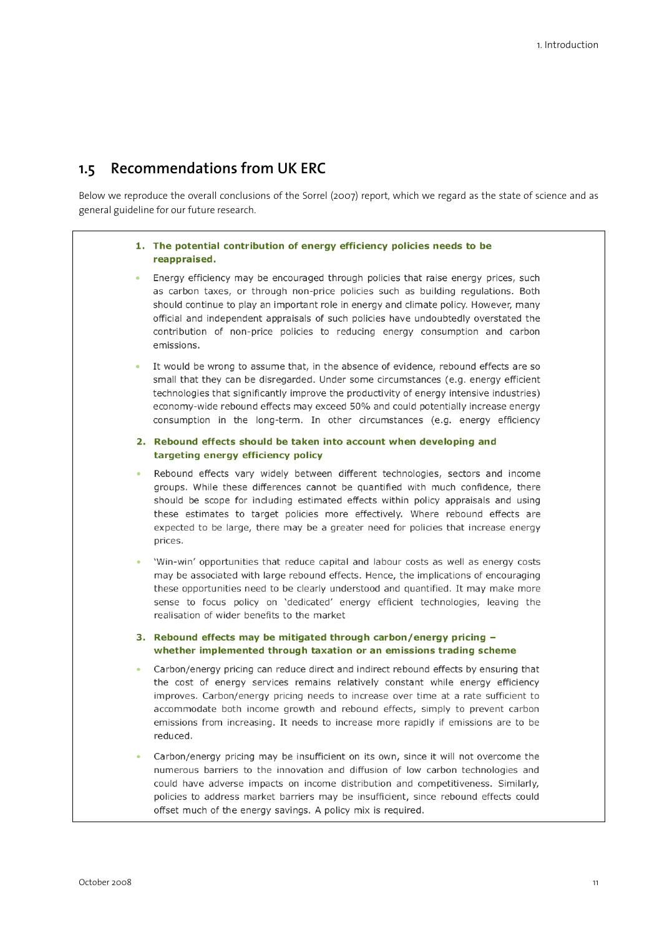## **1.5 Recommendations from UK ERC**

Below we reproduce the overall conclusions of the Sorrel (2007) report, which we regard as the state of science and as general guideline for our future research.

#### 1. The potential contribution of energy efficiency policies needs to be reappraised.

- Energy efficiency may be encouraged through policies that raise energy prices, such as carbon taxes, or through non-price policies such as building regulations. Both should continue to play an important role in energy and climate policy. However, many official and independent appraisals of such policies have undoubtedly overstated the contribution of non-price policies to reducing energy consumption and carbon emissions.
- It would be wrong to assume that, in the absence of evidence, rebound effects are so small that they can be disregarded. Under some circumstances (e.g. energy efficient technologies that significantly improve the productivity of energy intensive industries) economy-wide rebound effects may exceed 50% and could potentially increase energy consumption in the long-term. In other circumstances (e.g. energy efficiency

#### 2. Rebound effects should be taken into account when developing and targeting energy efficiency policy

- Rebound effects vary widely between different technologies, sectors and income groups. While these differences cannot be quantified with much confidence, there should be scope for including estimated effects within policy appraisals and using these estimates to target policies more effectively. Where rebound effects are expected to be large, there may be a greater need for policies that increase energy prices.
- 'Win-win' opportunities that reduce capital and labour costs as well as energy costs may be associated with large rebound effects. Hence, the implications of encouraging these opportunities need to be clearly understood and quantified. It may make more sense to focus policy on 'dedicated' energy efficient technologies, leaving the realisation of wider benefits to the market
- 3. Rebound effects may be mitigated through carbon/energy pricing whether implemented through taxation or an emissions trading scheme
- Carbon/energy pricing can reduce direct and indirect rebound effects by ensuring that the cost of energy services remains relatively constant while energy efficiency improves. Carbon/energy pricing needs to increase over time at a rate sufficient to accommodate both income growth and rebound effects, simply to prevent carbon emissions from increasing. It needs to increase more rapidly if emissions are to be reduced.
- Carbon/energy pricing may be insufficient on its own, since it will not overcome the numerous barriers to the innovation and diffusion of low carbon technologies and could have adverse impacts on income distribution and competitiveness. Similarly, policies to address market barriers may be insufficient, since rebound effects could offset much of the energy savings. A policy mix is required.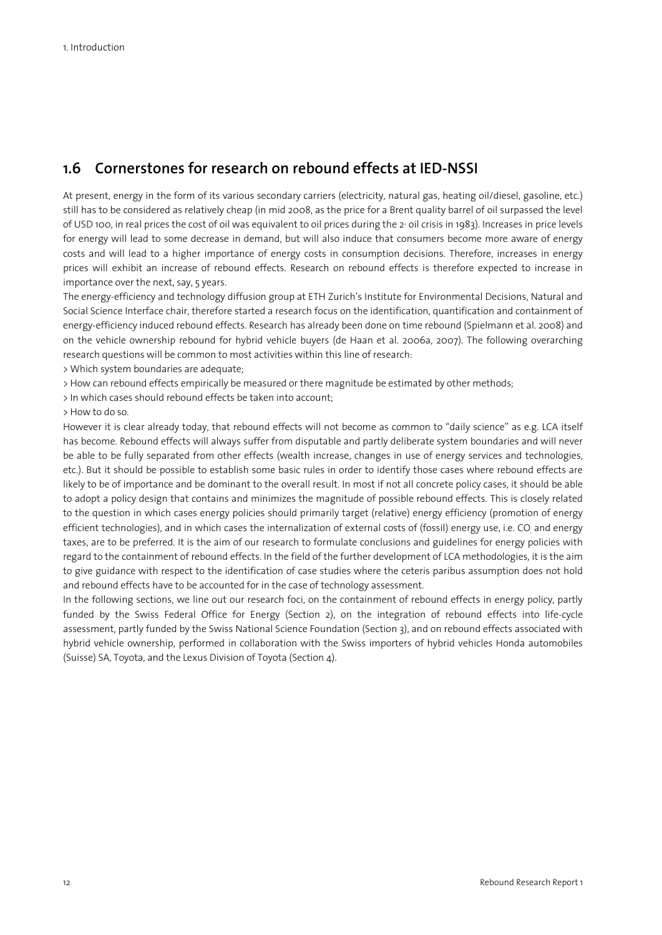## **1.6 Cornerstones for research on rebound effects at IED-NSSI**

At present, energy in the form of its various secondary carriers (electricity, natural gas, heating oil/diesel, gasoline, etc.) still has to be considered as relatively cheap (in mid 2008, as the price for a Brent quality barrel of oil surpassed the level of USD 100, in real prices the cost of oil was equivalent to oil prices during the 2<sup>e</sup> oil crisis in 1983). Increases in price levels for energy will lead to some decrease in demand, but will also induce that consumers become more aware of energy costs and will lead to a higher importance of energy costs in consumption decisions. Therefore, increases in energy prices will exhibit an increase of rebound effects. Research on rebound effects is therefore expected to increase in importance over the next, say, 5 years.

The energy-efficiency and technology diffusion group at ETH Zurich's Institute for Environmental Decisions, Natural and Social Science Interface chair, therefore started a research focus on the identification, quantification and containment of energy-efficiency induced rebound effects. Research has already been done on time rebound (Spielmann et al. 2008) and on the vehicle ownership rebound for hybrid vehicle buyers (de Haan et al. 2006a, 2007). The following overarching research questions will be common to most activities within this line of research:

> Which system boundaries are adequate;

> How can rebound effects empirically be measured or there magnitude be estimated by other methods;

> In which cases should rebound effects be taken into account;

#### > How to do so.

However it is clear already today, that rebound effects will not become as common to "daily science" as e.g. LCA itself has become. Rebound effects will always suffer from disputable and partly deliberate system boundaries and will never be able to be fully separated from other effects (wealth increase, changes in use of energy services and technologies, etc.). But it should be possible to establish some basic rules in order to identify those cases where rebound effects are likely to be of importance and be dominant to the overall result. In most if not all concrete policy cases, it should be able to adopt a policy design that contains and minimizes the magnitude of possible rebound effects. This is closely related to the question in which cases energy policies should primarily target (relative) energy efficiency (promotion of energy efficient technologies), and in which cases the internalization of external costs of (fossil) energy use, i.e. CO and energy taxes, are to be preferred. It is the aim of our research to formulate conclusions and guidelines for energy policies with regard to the containment of rebound effects. In the field of the further development of LCA methodologies, it is the aim to give guidance with respect to the identification of case studies where the ceteris paribus assumption does not hold and rebound effects have to be accounted for in the case of technology assessment.

In the following sections, we line out our research foci, on the containment of rebound effects in energy policy, partly funded by the Swiss Federal Office for Energy (Section 2), on the integration of rebound effects into life-cycle assessment, partly funded by the Swiss National Science Foundation (Section 3), and on rebound effects associated with hybrid vehicle ownership, performed in collaboration with the Swiss importers of hybrid vehicles Honda automobiles (Suisse) SA, Toyota, and the Lexus Division of Toyota (Section 4).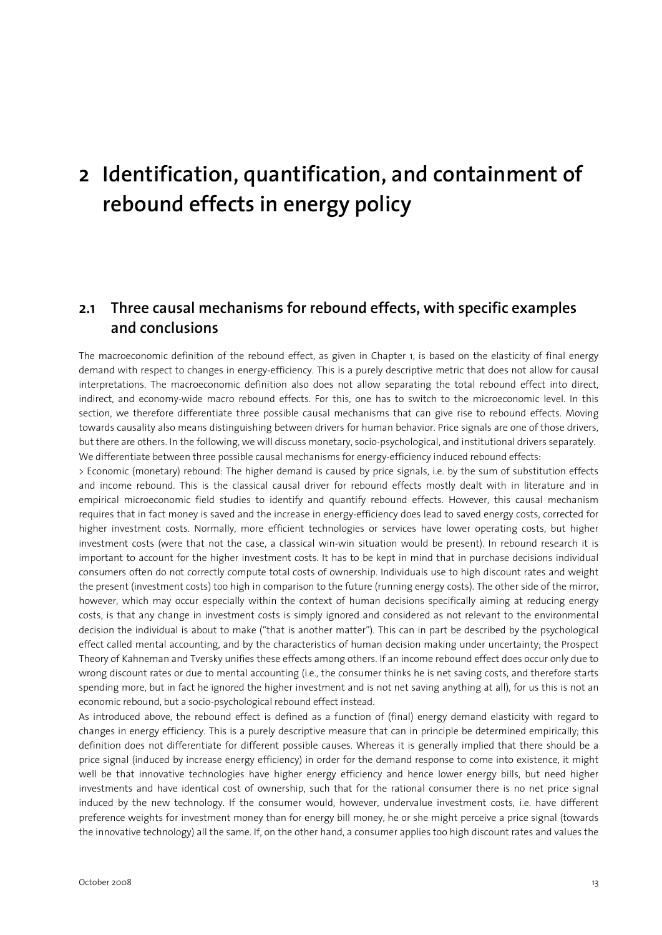## **2 Identification, quantification, and containment of rebound effects in energy policy**

## **2.1 Three causal mechanisms for rebound effects, with specific examples and conclusions**

The macroeconomic definition of the rebound effect, as given in Chapter 1, is based on the elasticity of final energy demand with respect to changes in energy-efficiency. This is a purely descriptive metric that does not allow for causal interpretations. The macroeconomic definition also does not allow separating the total rebound effect into direct, indirect, and economy-wide macro rebound effects. For this, one has to switch to the microeconomic level. In this section, we therefore differentiate three possible causal mechanisms that can give rise to rebound effects. Moving towards causality also means distinguishing between drivers for human behavior. Price signals are one of those drivers, but there are others. In the following, we will discuss monetary, socio-psychological, and institutional drivers separately. We differentiate between three possible causal mechanisms for energy-efficiency induced rebound effects:

> Economic (monetary) rebound: The higher demand is caused by price signals, i.e. by the sum of substitution effects and income rebound. This is the classical causal driver for rebound effects mostly dealt with in literature and in empirical microeconomic field studies to identify and quantify rebound effects. However, this causal mechanism requires that in fact money is saved and the increase in energy-efficiency does lead to saved energy costs, corrected for higher investment costs. Normally, more efficient technologies or services have lower operating costs, but higher investment costs (were that not the case, a classical win-win situation would be present). In rebound research it is important to account for the higher investment costs. It has to be kept in mind that in purchase decisions individual consumers often do not correctly compute total costs of ownership. Individuals use to high discount rates and weight the present (investment costs) too high in comparison to the future (running energy costs). The other side of the mirror, however, which may occur especially within the context of human decisions specifically aiming at reducing energy costs, is that any change in investment costs is simply ignored and considered as not relevant to the environmental decision the individual is about to make ("that is another matter"). This can in part be described by the psychological effect called mental accounting, and by the characteristics of human decision making under uncertainty; the Prospect Theory of Kahneman and Tversky unifies these effects among others. If an income rebound effect does occur only due to wrong discount rates or due to mental accounting (i.e., the consumer thinks he is net saving costs, and therefore starts spending more, but in fact he ignored the higher investment and is not net saving anything at all), for us this is not an economic rebound, but a socio-psychological rebound effect instead.

As introduced above, the rebound effect is defined as a function of (final) energy demand elasticity with regard to changes in energy efficiency. This is a purely descriptive measure that can in principle be determined empirically; this definition does not differentiate for different possible causes. Whereas it is generally implied that there should be a price signal (induced by increase energy efficiency) in order for the demand response to come into existence, it might well be that innovative technologies have higher energy efficiency and hence lower energy bills, but need higher investments and have identical cost of ownership, such that for the rational consumer there is no net price signal induced by the new technology. If the consumer would, however, undervalue investment costs, i.e. have different preference weights for investment money than for energy bill money, he or she might perceive a price signal (towards the innovative technology) all the same. If, on the other hand, a consumer applies too high discount rates and values the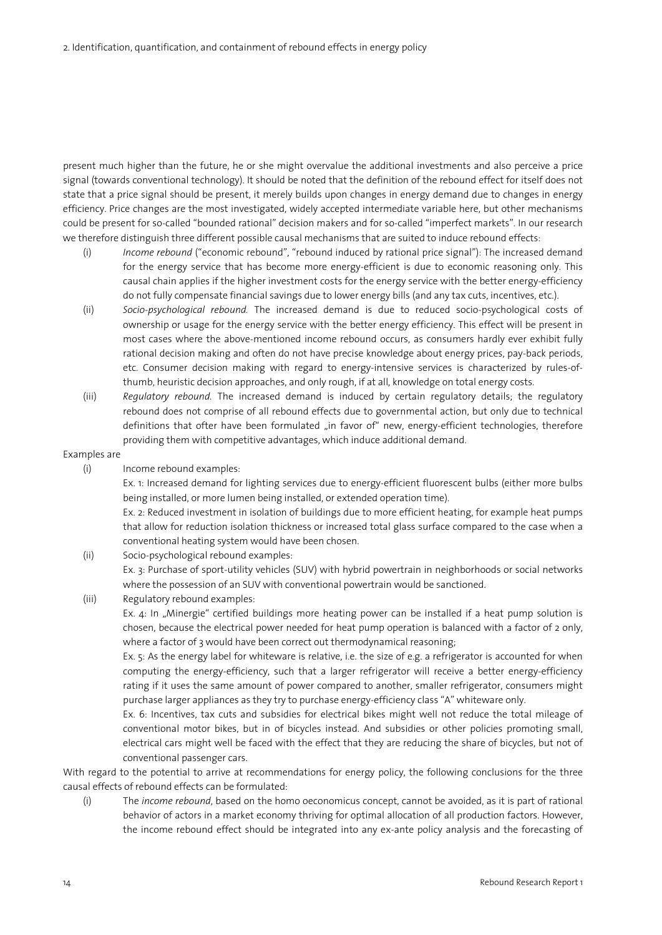present much higher than the future, he or she might overvalue the additional investments and also perceive a price signal (towards conventional technology). It should be noted that the definition of the rebound effect for itself does not state that a price signal should be present, it merely builds upon changes in energy demand due to changes in energy efficiency. Price changes are the most investigated, widely accepted intermediate variable here, but other mechanisms could be present for so-called "bounded rational" decision makers and for so-called "imperfect markets". In our research we therefore distinguish three different possible causal mechanisms that are suited to induce rebound effects:

- (i) *Income rebound* ("economic rebound", "rebound induced by rational price signal"): The increased demand for the energy service that has become more energy-efficient is due to economic reasoning only. This causal chain applies if the higher investment costs for the energy service with the better energy-efficiency do not fully compensate financial savings due to lower energy bills (and any tax cuts, incentives, etc.).
- (ii) *Socio-psychological rebound.* The increased demand is due to reduced socio-psychological costs of ownership or usage for the energy service with the better energy efficiency. This effect will be present in most cases where the above-mentioned income rebound occurs, as consumers hardly ever exhibit fully rational decision making and often do not have precise knowledge about energy prices, pay-back periods, etc. Consumer decision making with regard to energy-intensive services is characterized by rules-ofthumb, heuristic decision approaches, and only rough, if at all, knowledge on total energy costs.
- (iii) *Regulatory rebound.* The increased demand is induced by certain regulatory details; the regulatory rebound does not comprise of all rebound effects due to governmental action, but only due to technical definitions that ofter have been formulated "in favor of" new, energy-efficient technologies, therefore providing them with competitive advantages, which induce additional demand.

#### Examples are

(i) Income rebound examples:

Ex. 1: Increased demand for lighting services due to energy-efficient fluorescent bulbs (either more bulbs being installed, or more lumen being installed, or extended operation time).

Ex. 2: Reduced investment in isolation of buildings due to more efficient heating, for example heat pumps that allow for reduction isolation thickness or increased total glass surface compared to the case when a conventional heating system would have been chosen.

- (ii) Socio-psychological rebound examples: Ex. 3: Purchase of sport-utility vehicles (SUV) with hybrid powertrain in neighborhoods or social networks where the possession of an SUV with conventional powertrain would be sanctioned.
- (iii) Regulatory rebound examples:

Ex. 4: In "Minergie" certified buildings more heating power can be installed if a heat pump solution is chosen, because the electrical power needed for heat pump operation is balanced with a factor of 2 only, where a factor of 3 would have been correct out thermodynamical reasoning;

Ex. 5: As the energy label for whiteware is relative, i.e. the size of e.g. a refrigerator is accounted for when computing the energy-efficiency, such that a larger refrigerator will receive a better energy-efficiency rating if it uses the same amount of power compared to another, smaller refrigerator, consumers might purchase larger appliances as they try to purchase energy-efficiency class "A" whiteware only.

Ex. 6: Incentives, tax cuts and subsidies for electrical bikes might well not reduce the total mileage of conventional motor bikes, but in of bicycles instead. And subsidies or other policies promoting small, electrical cars might well be faced with the effect that they are reducing the share of bicycles, but not of conventional passenger cars.

With regard to the potential to arrive at recommendations for energy policy, the following conclusions for the three causal effects of rebound effects can be formulated:

(i) The *income rebound*, based on the homo oeconomicus concept, cannot be avoided, as it is part of rational behavior of actors in a market economy thriving for optimal allocation of all production factors. However, the income rebound effect should be integrated into any ex-ante policy analysis and the forecasting of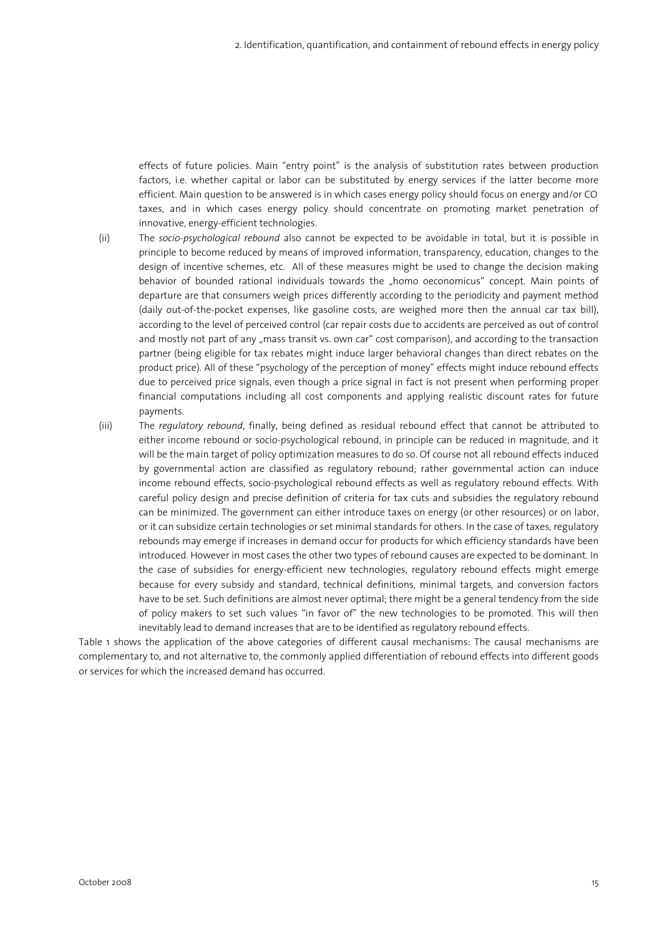effects of future policies. Main "entry point" is the analysis of substitution rates between production factors, i.e. whether capital or labor can be substituted by energy services if the latter become more efficient. Main question to be answered is in which cases energy policy should focus on energy and/or CO2 taxes, and in which cases energy policy should concentrate on promoting market penetration of innovative, energy-efficient technologies.

- (ii) The *socio-psychological rebound* also cannot be expected to be avoidable in total, but it is possible in principle to become reduced by means of improved information, transparency, education, changes to the design of incentive schemes, etc. All of these measures might be used to change the decision making behavior of bounded rational individuals towards the "homo oeconomicus" concept. Main points of departure are that consumers weigh prices differently according to the periodicity and payment method (daily out-of-the-pocket expenses, like gasoline costs, are weighed more then the annual car tax bill), according to the level of perceived control (car repair costs due to accidents are perceived as out of control and mostly not part of any "mass transit vs. own car" cost comparison), and according to the transaction partner (being eligible for tax rebates might induce larger behavioral changes than direct rebates on the product price). All of these "psychology of the perception of money" effects might induce rebound effects due to perceived price signals, even though a price signal in fact is not present when performing proper financial computations including all cost components and applying realistic discount rates for future payments.
- (iii) The *regulatory rebound*, finally, being defined as residual rebound effect that cannot be attributed to either income rebound or socio-psychological rebound, in principle can be reduced in magnitude, and it will be the main target of policy optimization measures to do so. Of course not all rebound effects induced by governmental action are classified as regulatory rebound; rather governmental action can induce income rebound effects, socio-psychological rebound effects as well as regulatory rebound effects. With careful policy design and precise definition of criteria for tax cuts and subsidies the regulatory rebound can be minimized. The government can either introduce taxes on energy (or other resources) or on labor, or it can subsidize certain technologies or set minimal standards for others. In the case of taxes, regulatory rebounds may emerge if increases in demand occur for products for which efficiency standards have been introduced. However in most cases the other two types of rebound causes are expected to be dominant. In the case of subsidies for energy-efficient new technologies, regulatory rebound effects might emerge because for every subsidy and standard, technical definitions, minimal targets, and conversion factors have to be set. Such definitions are almost never optimal; there might be a general tendency from the side of policy makers to set such values "in favor of" the new technologies to be promoted. This will then inevitably lead to demand increases that are to be identified as regulatory rebound effects.

Table 1 shows the application of the above categories of different causal mechanisms: The causal mechanisms are complementary to, and not alternative to, the commonly applied differentiation of rebound effects into different goods or services for which the increased demand has occurred.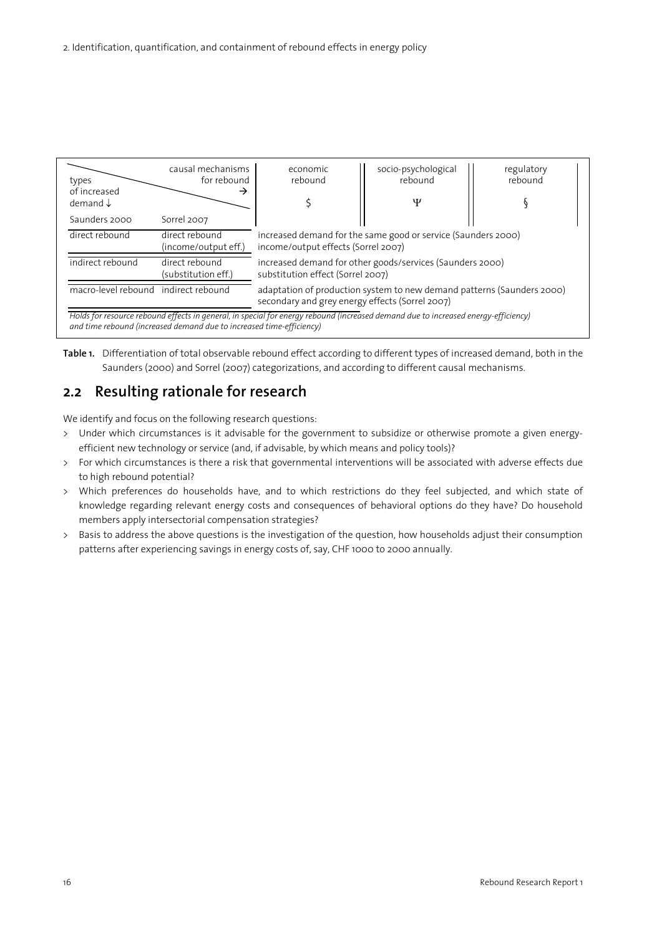



## **2.2 Resulting rationale for research**

We identify and focus on the following research questions:

- > Under which circumstances is it advisable for the government to subsidize or otherwise promote a given energyefficient new technology or service (and, if advisable, by which means and policy tools)?
- > For which circumstances is there a risk that governmental interventions will be associated with adverse effects due to high rebound potential?
- > Which preferences do households have, and to which restrictions do they feel subjected, and which state of knowledge regarding relevant energy costs and consequences of behavioral options do they have? Do household members apply intersectorial compensation strategies?
- > Basis to address the above questions is the investigation of the question, how households adjust their consumption patterns after experiencing savings in energy costs of, say, CHF 1000 to 2000 annually.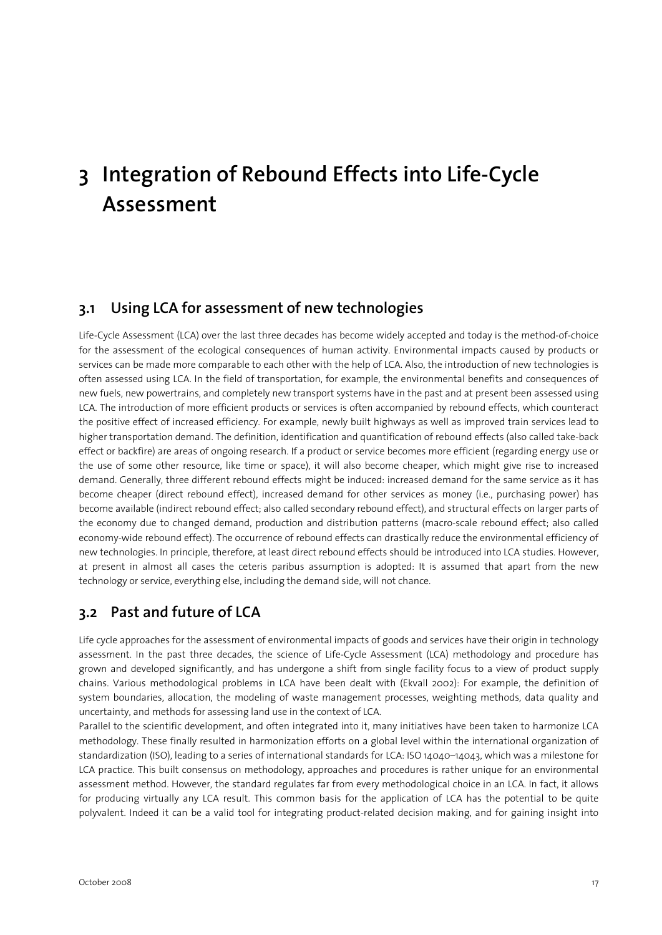## **3 Integration of Rebound Effects into Life-Cycle Assessment**

## **3.1 Using LCA for assessment of new technologies**

Life-Cycle Assessment (LCA) over the last three decades has become widely accepted and today is the method-of-choice for the assessment of the ecological consequences of human activity. Environmental impacts caused by products or services can be made more comparable to each other with the help of LCA. Also, the introduction of new technologies is often assessed using LCA. In the field of transportation, for example, the environmental benefits and consequences of new fuels, new powertrains, and completely new transport systems have in the past and at present been assessed using LCA. The introduction of more efficient products or services is often accompanied by rebound effects, which counteract the positive effect of increased efficiency. For example, newly built highways as well as improved train services lead to higher transportation demand. The definition, identification and quantification of rebound effects (also called take-back effect or backfire) are areas of ongoing research. If a product or service becomes more efficient (regarding energy use or the use of some other resource, like time or space), it will also become cheaper, which might give rise to increased demand. Generally, three different rebound effects might be induced: increased demand for the same service as it has become cheaper (direct rebound effect), increased demand for other services as money (i.e., purchasing power) has become available (indirect rebound effect; also called secondary rebound effect), and structural effects on larger parts of the economy due to changed demand, production and distribution patterns (macro-scale rebound effect; also called economy-wide rebound effect). The occurrence of rebound effects can drastically reduce the environmental efficiency of new technologies. In principle, therefore, at least direct rebound effects should be introduced into LCA studies. However, at present in almost all cases the ceteris paribus assumption is adopted: It is assumed that apart from the new technology or service, everything else, including the demand side, will not chance.

### **3.2 Past and future of LCA**

Life cycle approaches for the assessment of environmental impacts of goods and services have their origin in technology assessment. In the past three decades, the science of Life-Cycle Assessment (LCA) methodology and procedure has grown and developed significantly, and has undergone a shift from single facility focus to a view of product supply chains. Various methodological problems in LCA have been dealt with (Ekvall 2002): For example, the definition of system boundaries, allocation, the modeling of waste management processes, weighting methods, data quality and uncertainty, and methods for assessing land use in the context of LCA.

Parallel to the scientific development, and often integrated into it, many initiatives have been taken to harmonize LCA methodology. These finally resulted in harmonization efforts on a global level within the international organization of standardization (ISO), leading to a series of international standards for LCA: ISO 14040–14043, which was a milestone for LCA practice. This built consensus on methodology, approaches and procedures is rather unique for an environmental assessment method. However, the standard regulates far from every methodological choice in an LCA. In fact, it allows for producing virtually any LCA result. This common basis for the application of LCA has the potential to be quite polyvalent. Indeed it can be a valid tool for integrating product-related decision making, and for gaining insight into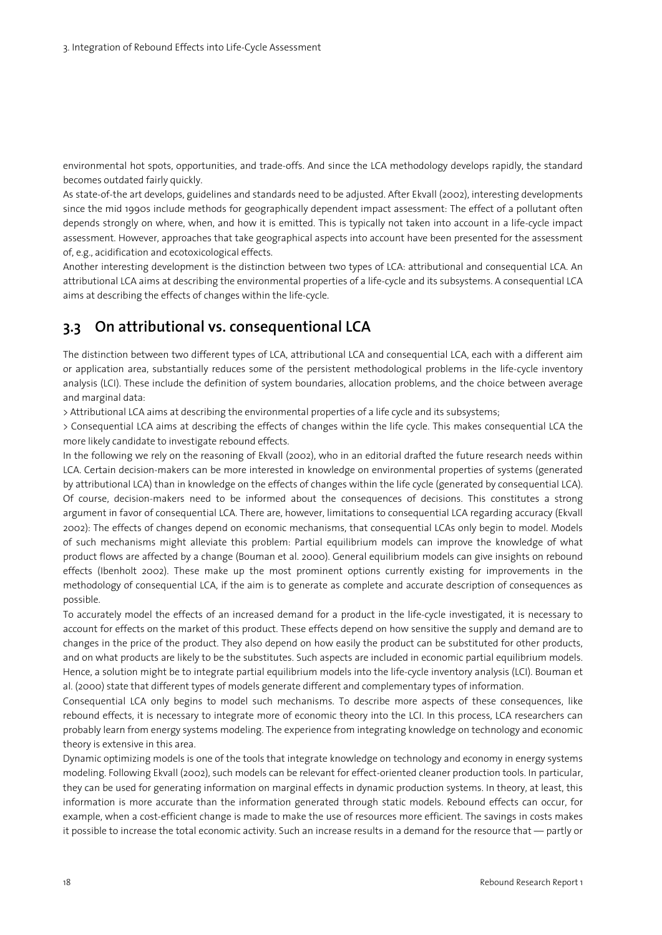environmental hot spots, opportunities, and trade-offs. And since the LCA methodology develops rapidly, the standard becomes outdated fairly quickly.

As state-of-the art develops, guidelines and standards need to be adjusted. After Ekvall (2002), interesting developments since the mid 1990s include methods for geographically dependent impact assessment: The effect of a pollutant often depends strongly on where, when, and how it is emitted. This is typically not taken into account in a life-cycle impact assessment. However, approaches that take geographical aspects into account have been presented for the assessment of, e.g., acidification and ecotoxicological effects.

Another interesting development is the distinction between two types of LCA: attributional and consequential LCA. An attributional LCA aims at describing the environmental properties of a life-cycle and its subsystems. A consequential LCA aims at describing the effects of changes within the life-cycle.

## **3.3 On attributional vs. consequentional LCA**

The distinction between two different types of LCA, attributional LCA and consequential LCA, each with a different aim or application area, substantially reduces some of the persistent methodological problems in the life-cycle inventory analysis (LCI). These include the definition of system boundaries, allocation problems, and the choice between average and marginal data:

> Attributional LCA aims at describing the environmental properties of a life cycle and its subsystems;

> Consequential LCA aims at describing the effects of changes within the life cycle. This makes consequential LCA the more likely candidate to investigate rebound effects.

In the following we rely on the reasoning of Ekvall (2002), who in an editorial drafted the future research needs within LCA. Certain decision-makers can be more interested in knowledge on environmental properties of systems (generated by attributional LCA) than in knowledge on the effects of changes within the life cycle (generated by consequential LCA). Of course, decision-makers need to be informed about the consequences of decisions. This constitutes a strong argument in favor of consequential LCA. There are, however, limitations to consequential LCA regarding accuracy (Ekvall 2002): The effects of changes depend on economic mechanisms, that consequential LCAs only begin to model. Models of such mechanisms might alleviate this problem: Partial equilibrium models can improve the knowledge of what product flows are affected by a change (Bouman et al. 2000). General equilibrium models can give insights on rebound effects (Ibenholt 2002). These make up the most prominent options currently existing for improvements in the methodology of consequential LCA, if the aim is to generate as complete and accurate description of consequences as possible.

To accurately model the effects of an increased demand for a product in the life-cycle investigated, it is necessary to account for effects on the market of this product. These effects depend on how sensitive the supply and demand are to changes in the price of the product. They also depend on how easily the product can be substituted for other products, and on what products are likely to be the substitutes. Such aspects are included in economic partial equilibrium models. Hence, a solution might be to integrate partial equilibrium models into the life-cycle inventory analysis (LCI). Bouman et al. (2000) state that different types of models generate different and complementary types of information.

Consequential LCA only begins to model such mechanisms. To describe more aspects of these consequences, like rebound effects, it is necessary to integrate more of economic theory into the LCI. In this process, LCA researchers can probably learn from energy systems modeling. The experience from integrating knowledge on technology and economic theory is extensive in this area.

Dynamic optimizing models is one of the tools that integrate knowledge on technology and economy in energy systems modeling. Following Ekvall (2002), such models can be relevant for effect-oriented cleaner production tools. In particular, they can be used for generating information on marginal effects in dynamic production systems. In theory, at least, this information is more accurate than the information generated through static models. Rebound effects can occur, for example, when a cost-efficient change is made to make the use of resources more efficient. The savings in costs makes it possible to increase the total economic activity. Such an increase results in a demand for the resource that — partly or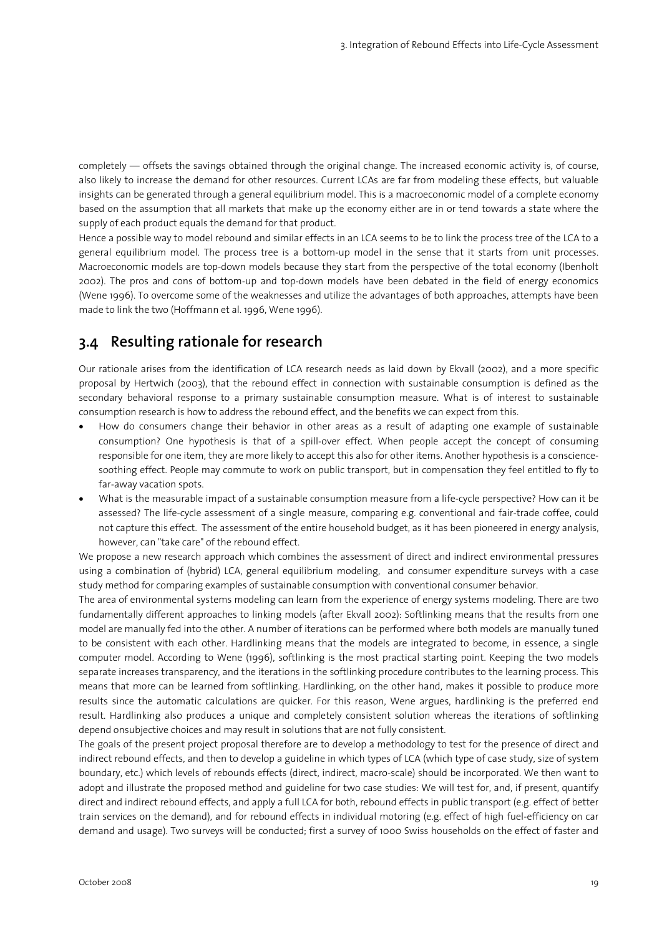completely — offsets the savings obtained through the original change. The increased economic activity is, of course, also likely to increase the demand for other resources. Current LCAs are far from modeling these effects, but valuable insights can be generated through a general equilibrium model. This is a macroeconomic model of a complete economy based on the assumption that all markets that make up the economy either are in or tend towards a state where the supply of each product equals the demand for that product.

Hence a possible way to model rebound and similar effects in an LCA seems to be to link the process tree of the LCA to a general equilibrium model. The process tree is a bottom-up model in the sense that it starts from unit processes. Macroeconomic models are top-down models because they start from the perspective of the total economy (Ibenholt 2002). The pros and cons of bottom-up and top-down models have been debated in the field of energy economics (Wene 1996). To overcome some of the weaknesses and utilize the advantages of both approaches, attempts have been made to link the two (Hoffmann et al. 1996, Wene 1996).

### **3.4 Resulting rationale for research**

Our rationale arises from the identification of LCA research needs as laid down by Ekvall (2002), and a more specific proposal by Hertwich (2003), that the rebound effect in connection with sustainable consumption is defined as the secondary behavioral response to a primary sustainable consumption measure. What is of interest to sustainable consumption research is how to address the rebound effect, and the benefits we can expect from this.

- How do consumers change their behavior in other areas as a result of adapting one example of sustainable consumption? One hypothesis is that of a spill-over effect. When people accept the concept of consuming responsible for one item, they are more likely to accept this also for other items. Another hypothesis is a consciencesoothing effect. People may commute to work on public transport, but in compensation they feel entitled to fly to far-away vacation spots.
- What is the measurable impact of a sustainable consumption measure from a life-cycle perspective? How can it be assessed? The life-cycle assessment of a single measure, comparing e.g. conventional and fair-trade coffee, could not capture this effect. The assessment of the entire household budget, as it has been pioneered in energy analysis, however, can "take care" of the rebound effect.

We propose a new research approach which combines the assessment of direct and indirect environmental pressures using a combination of (hybrid) LCA, general equilibrium modeling, and consumer expenditure surveys with a case study method for comparing examples of sustainable consumption with conventional consumer behavior.

The area of environmental systems modeling can learn from the experience of energy systems modeling. There are two fundamentally different approaches to linking models (after Ekvall 2002): Softlinking means that the results from one model are manually fed into the other. A number of iterations can be performed where both models are manually tuned to be consistent with each other. Hardlinking means that the models are integrated to become, in essence, a single computer model. According to Wene (1996), softlinking is the most practical starting point. Keeping the two models separate increases transparency, and the iterations in the softlinking procedure contributes to the learning process. This means that more can be learned from softlinking. Hardlinking, on the other hand, makes it possible to produce more results since the automatic calculations are quicker. For this reason, Wene argues, hardlinking is the preferred end result. Hardlinking also produces a unique and completely consistent solution whereas the iterations of softlinking depend onsubjective choices and may result in solutions that are not fully consistent.

The goals of the present project proposal therefore are to develop a methodology to test for the presence of direct and indirect rebound effects, and then to develop a guideline in which types of LCA (which type of case study, size of system boundary, etc.) which levels of rebounds effects (direct, indirect, macro-scale) should be incorporated. We then want to adopt and illustrate the proposed method and guideline for two case studies: We will test for, and, if present, quantify direct and indirect rebound effects, and apply a full LCA for both, rebound effects in public transport (e.g. effect of better train services on the demand), and for rebound effects in individual motoring (e.g. effect of high fuel-efficiency on car demand and usage). Two surveys will be conducted; first a survey of 1000 Swiss households on the effect of faster and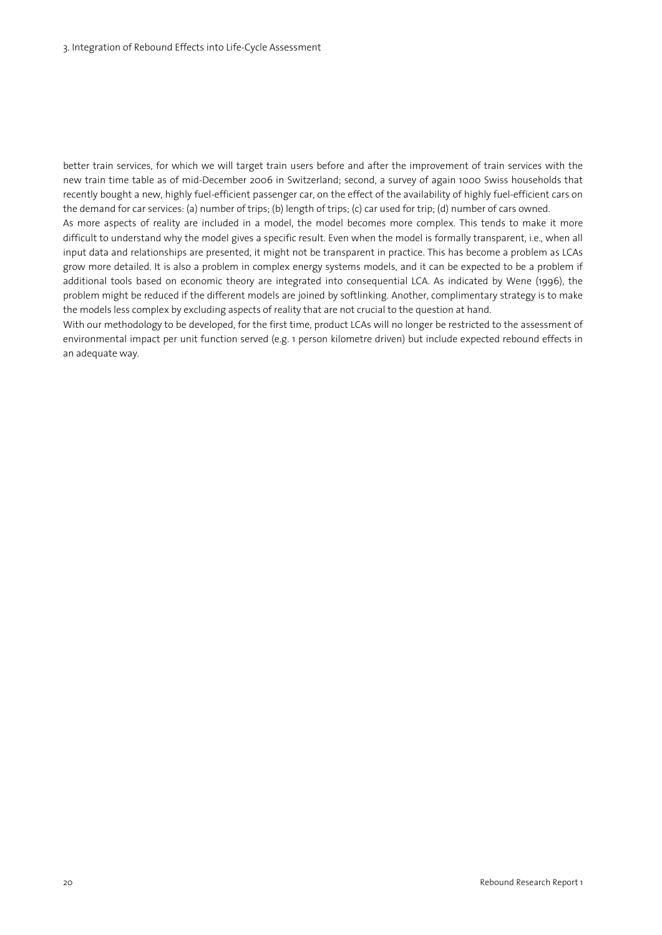better train services, for which we will target train users before and after the improvement of train services with the new train time table as of mid-December 2006 in Switzerland; second, a survey of again 1000 Swiss households that recently bought a new, highly fuel-efficient passenger car, on the effect of the availability of highly fuel-efficient cars on the demand for car services: (a) number of trips; (b) length of trips; (c) car used for trip; (d) number of cars owned.

As more aspects of reality are included in a model, the model becomes more complex. This tends to make it more difficult to understand why the model gives a specific result. Even when the model is formally transparent, i.e., when all input data and relationships are presented, it might not be transparent in practice. This has become a problem as LCAs grow more detailed. It is also a problem in complex energy systems models, and it can be expected to be a problem if additional tools based on economic theory are integrated into consequential LCA. As indicated by Wene (1996), the problem might be reduced if the different models are joined by softlinking. Another, complimentary strategy is to make the models less complex by excluding aspects of reality that are not crucial to the question at hand.

With our methodology to be developed, for the first time, product LCAs will no longer be restricted to the assessment of environmental impact per unit function served (e.g. 1 person kilometre driven) but include expected rebound effects in an adequate way.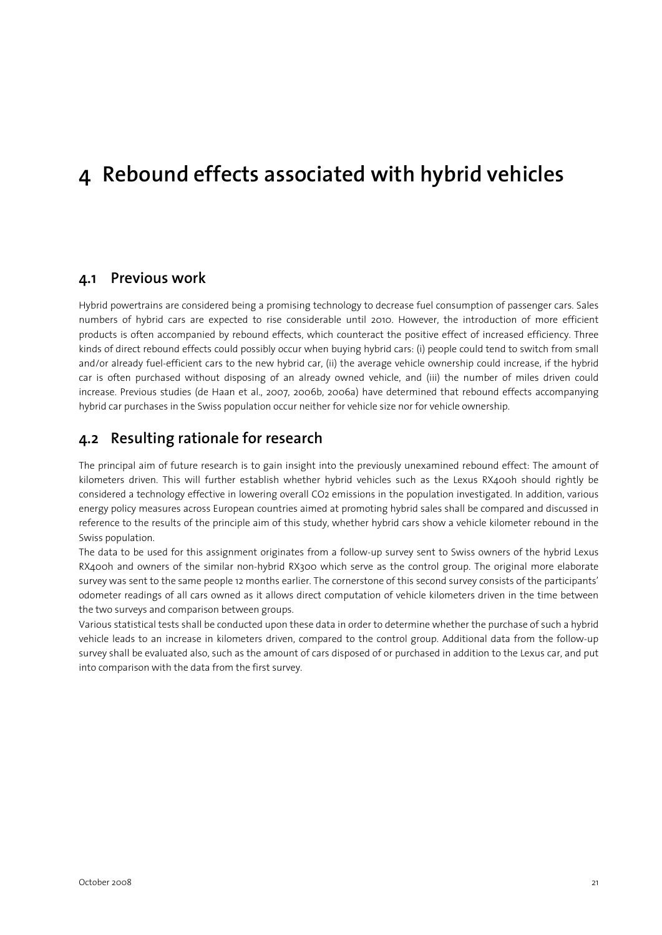## **4 Rebound effects associated with hybrid vehicles**

#### **4.1 Previous work**

Hybrid powertrains are considered being a promising technology to decrease fuel consumption of passenger cars. Sales numbers of hybrid cars are expected to rise considerable until 2010. However, the introduction of more efficient products is often accompanied by rebound effects, which counteract the positive effect of increased efficiency. Three kinds of direct rebound effects could possibly occur when buying hybrid cars: (i) people could tend to switch from small and/or already fuel-efficient cars to the new hybrid car, (ii) the average vehicle ownership could increase, if the hybrid car is often purchased without disposing of an already owned vehicle, and (iii) the number of miles driven could increase. Previous studies (de Haan et al., 2007, 2006b, 2006a) have determined that rebound effects accompanying hybrid car purchases in the Swiss population occur neither for vehicle size nor for vehicle ownership.

## **4.2 Resulting rationale for research**

The principal aim of future research is to gain insight into the previously unexamined rebound effect: The amount of kilometers driven. This will further establish whether hybrid vehicles such as the Lexus RX400h should rightly be considered a technology effective in lowering overall CO2 emissions in the population investigated. In addition, various energy policy measures across European countries aimed at promoting hybrid sales shall be compared and discussed in reference to the results of the principle aim of this study, whether hybrid cars show a vehicle kilometer rebound in the Swiss population.

The data to be used for this assignment originates from a follow-up survey sent to Swiss owners of the hybrid Lexus RX400h and owners of the similar non-hybrid RX300 which serve as the control group. The original more elaborate survey was sent to the same people 12 months earlier. The cornerstone of this second survey consists of the participants' odometer readings of all cars owned as it allows direct computation of vehicle kilometers driven in the time between the two surveys and comparison between groups.

Various statistical tests shall be conducted upon these data in order to determine whether the purchase of such a hybrid vehicle leads to an increase in kilometers driven, compared to the control group. Additional data from the follow-up survey shall be evaluated also, such as the amount of cars disposed of or purchased in addition to the Lexus car, and put into comparison with the data from the first survey.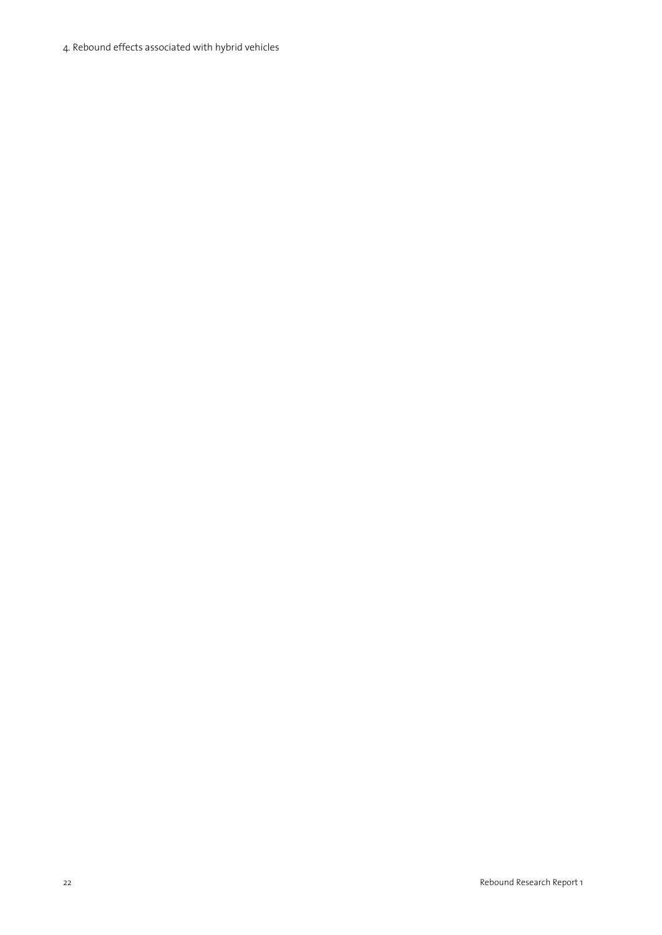4. Rebound effects associated with hybrid vehicles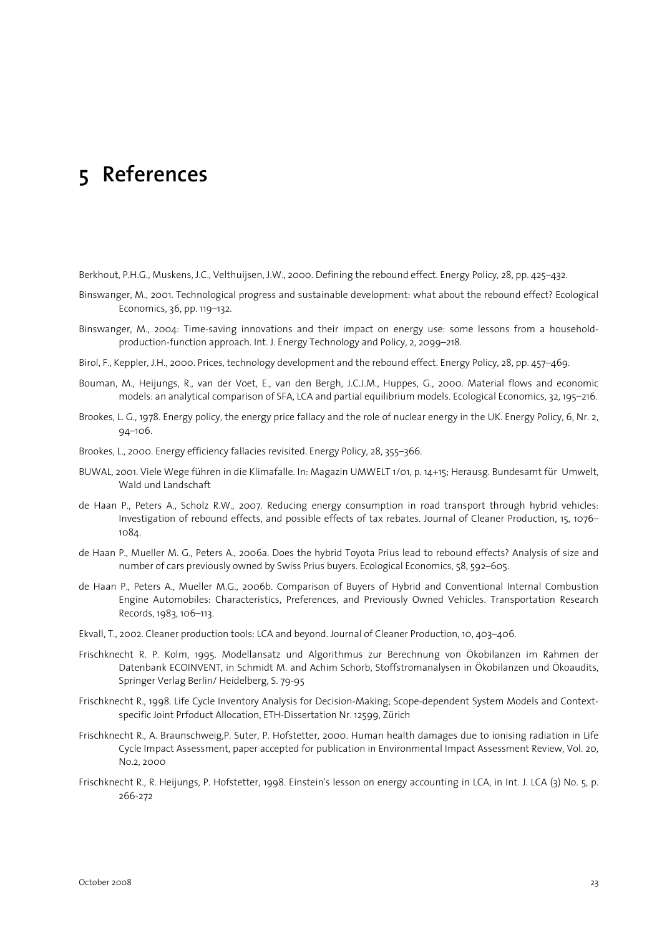## **5 References**

Berkhout, P.H.G., Muskens, J.C., Velthuijsen, J.W., 2000. Defining the rebound effect. Energy Policy, 28, pp. 425–432.

- Binswanger, M., 2001. Technological progress and sustainable development: what about the rebound effect? Ecological Economics, 36, pp. 119–132.
- Binswanger, M., 2004: Time-saving innovations and their impact on energy use: some lessons from a householdproduction-function approach. Int. J. Energy Technology and Policy, 2, 2099–218.
- Birol, F., Keppler, J.H., 2000. Prices, technology development and the rebound effect. Energy Policy, 28, pp. 457–469.
- Bouman, M., Heijungs, R., van der Voet, E., van den Bergh, J.C.J.M., Huppes, G., 2000. Material flows and economic models: an analytical comparison of SFA, LCA and partial equilibrium models. Ecological Economics, 32, 195–216.
- Brookes, L. G., 1978. Energy policy, the energy price fallacy and the role of nuclear energy in the UK. Energy Policy, 6, Nr. 2, 94–106.
- Brookes, L., 2000. Energy efficiency fallacies revisited. Energy Policy, 28, 355–366.
- BUWAL, 2001. Viele Wege führen in die Klimafalle. In: Magazin UMWELT 1/01, p. 14+15; Herausg. Bundesamt für Umwelt, Wald und Landschaft
- de Haan P., Peters A., Scholz R.W., 2007. Reducing energy consumption in road transport through hybrid vehicles: Investigation of rebound effects, and possible effects of tax rebates. Journal of Cleaner Production, 15, 1076– 1084.
- de Haan P., Mueller M. G., Peters A., 2006a. Does the hybrid Toyota Prius lead to rebound effects? Analysis of size and number of cars previously owned by Swiss Prius buyers. Ecological Economics, 58, 592–605.
- de Haan P., Peters A., Mueller M.G., 2006b. Comparison of Buyers of Hybrid and Conventional Internal Combustion Engine Automobiles: Characteristics, Preferences, and Previously Owned Vehicles. Transportation Research Records, 1983, 106–113.
- Ekvall, T., 2002. Cleaner production tools: LCA and beyond. Journal of Cleaner Production, 10, 403–406.
- Frischknecht R. P. Kolm, 1995. Modellansatz und Algorithmus zur Berechnung von Ökobilanzen im Rahmen der Datenbank ECOINVENT, in Schmidt M. and Achim Schorb, Stoffstromanalysen in Ökobilanzen und Ökoaudits, Springer Verlag Berlin/ Heidelberg, S. 79-95
- Frischknecht R., 1998. Life Cycle Inventory Analysis for Decision-Making; Scope-dependent System Models and Contextspecific Joint Prfoduct Allocation, ETH-Dissertation Nr. 12599, Zürich
- Frischknecht R., A. Braunschweig,P. Suter, P. Hofstetter, 2000. Human health damages due to ionising radiation in Life Cycle Impact Assessment, paper accepted for publication in Environmental Impact Assessment Review, Vol. 20, No.2, 2000
- Frischknecht R., R. Heijungs, P. Hofstetter, 1998. Einstein's lesson on energy accounting in LCA, in Int. J. LCA (3) No. 5, p. 266-272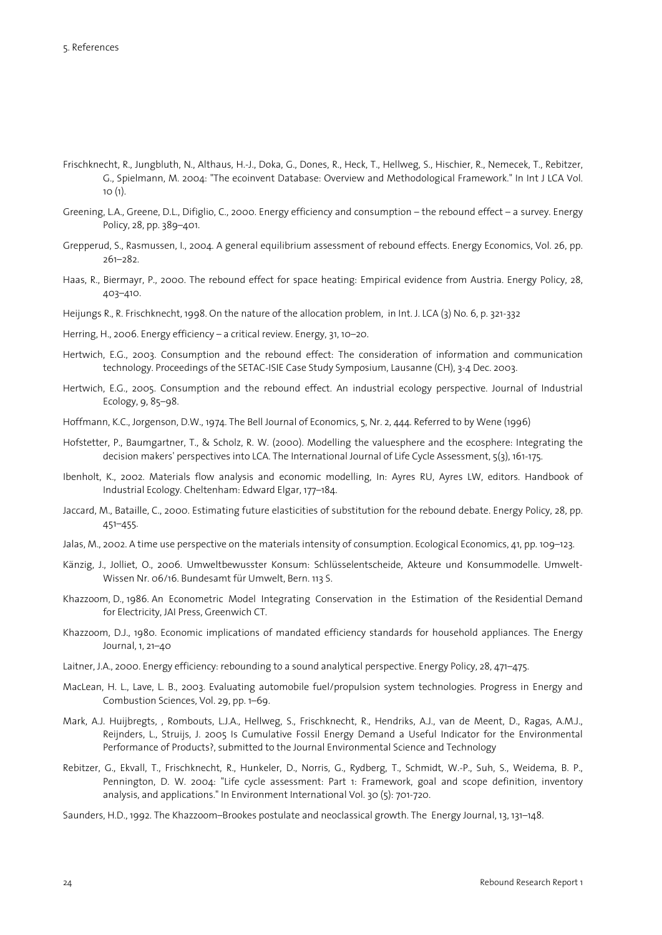- Frischknecht, R., Jungbluth, N., Althaus, H.-J., Doka, G., Dones, R., Heck, T., Hellweg, S., Hischier, R., Nemecek, T., Rebitzer, G., Spielmann, M. 2004: "The ecoinvent Database: Overview and Methodological Framework." In Int J LCA Vol.  $10(1)$ .
- Greening, L.A., Greene, D.L., Difiglio, C., 2000. Energy efficiency and consumption the rebound effect a survey. Energy Policy, 28, pp. 389-401.
- Grepperud, S., Rasmussen, I., 2004. A general equilibrium assessment of rebound effects. Energy Economics, Vol. 26, pp. 261–282.
- Haas, R., Biermayr, P., 2000. The rebound effect for space heating: Empirical evidence from Austria. Energy Policy, 28, 403–410.
- Heijungs R., R. Frischknecht, 1998. On the nature of the allocation problem, in Int. J. LCA (3) No. 6, p. 321-332
- Herring, H., 2006. Energy efficiency a critical review. Energy, 31, 10–20.
- Hertwich, E.G., 2003. Consumption and the rebound effect: The consideration of information and communication technology. Proceedings of the SETAC-ISIE Case Study Symposium, Lausanne (CH), 3-4 Dec. 2003.
- Hertwich, E.G., 2005. Consumption and the rebound effect. An industrial ecology perspective. Journal of Industrial Ecology, 9, 85–98.
- Hoffmann, K.C., Jorgenson, D.W., 1974. The Bell Journal of Economics, 5, Nr. 2, 444. Referred to by Wene (1996)
- Hofstetter, P., Baumgartner, T., & Scholz, R. W. (2000). Modelling the valuesphere and the ecosphere: Integrating the decision makers' perspectives into LCA. The International Journal of Life Cycle Assessment, 5(3), 161-175.
- Ibenholt, K., 2002. Materials flow analysis and economic modelling, In: Ayres RU, Ayres LW, editors. Handbook of Industrial Ecology. Cheltenham: Edward Elgar, 177–184.
- Jaccard, M., Bataille, C., 2000. Estimating future elasticities of substitution for the rebound debate. Energy Policy, 28, pp. 451–455.
- Jalas, M., 2002. A time use perspective on the materials intensity of consumption. Ecological Economics, 41, pp. 109–123.
- Känzig, J., Jolliet, O., 2006. Umweltbewusster Konsum: Schlüsselentscheide, Akteure und Konsummodelle. Umwelt-Wissen Nr. 06/16. Bundesamt für Umwelt, Bern. 113 S.
- Khazzoom, D., 1986. An Econometric Model Integrating Conservation in the Estimation of the Residential Demand for Electricity, JAI Press, Greenwich CT.
- Khazzoom, D.J., 1980. Economic implications of mandated efficiency standards for household appliances. The Energy Journal, 1, 21–40
- Laitner, J.A., 2000. Energy efficiency: rebounding to a sound analytical perspective. Energy Policy, 28, 471–475.
- MacLean, H. L., Lave, L. B., 2003. Evaluating automobile fuel/propulsion system technologies. Progress in Energy and Combustion Sciences, Vol. 29, pp. 1–69.
- Mark, A.J. Huijbregts, , Rombouts, L.J.A., Hellweg, S., Frischknecht, R., Hendriks, A.J., van de Meent, D., Ragas, A.M.J., Reijnders, L., Struijs, J. 2005 Is Cumulative Fossil Energy Demand a Useful Indicator for the Environmental Performance of Products?, submitted to the Journal Environmental Science and Technology
- Rebitzer, G., Ekvall, T., Frischknecht, R., Hunkeler, D., Norris, G., Rydberg, T., Schmidt, W.-P., Suh, S., Weidema, B. P., Pennington, D. W. 2004: "Life cycle assessment: Part 1: Framework, goal and scope definition, inventory analysis, and applications." In Environment International Vol. 30 (5): 701-720.
- Saunders, H.D., 1992. The Khazzoom–Brookes postulate and neoclassical growth. The Energy Journal, 13, 131–148.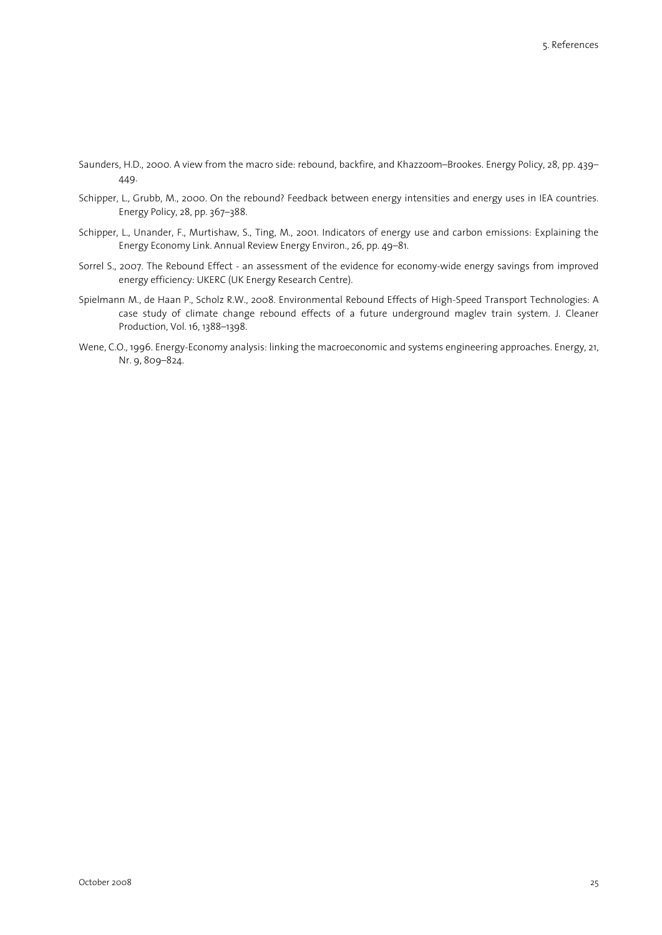- Saunders, H.D., 2000. A view from the macro side: rebound, backfire, and Khazzoom–Brookes. Energy Policy, 28, pp. 439– 449.
- Schipper, L., Grubb, M., 2000. On the rebound? Feedback between energy intensities and energy uses in IEA countries. Energy Policy, 28, pp. 367–388.
- Schipper, L., Unander, F., Murtishaw, S., Ting, M., 2001. Indicators of energy use and carbon emissions: Explaining the Energy Economy Link. Annual Review Energy Environ., 26, pp. 49–81.
- Sorrel S., 2007. The Rebound Effect an assessment of the evidence for economy-wide energy savings from improved energy efficiency: UKERC (UK Energy Research Centre).
- Spielmann M., de Haan P., Scholz R.W., 2008. Environmental Rebound Effects of High-Speed Transport Technologies: A case study of climate change rebound effects of a future underground maglev train system. J. Cleaner Production, Vol. 16, 1388–1398.
- Wene, C.O., 1996. Energy-Economy analysis: linking the macroeconomic and systems engineering approaches. Energy, 21, Nr. 9, 809–824.